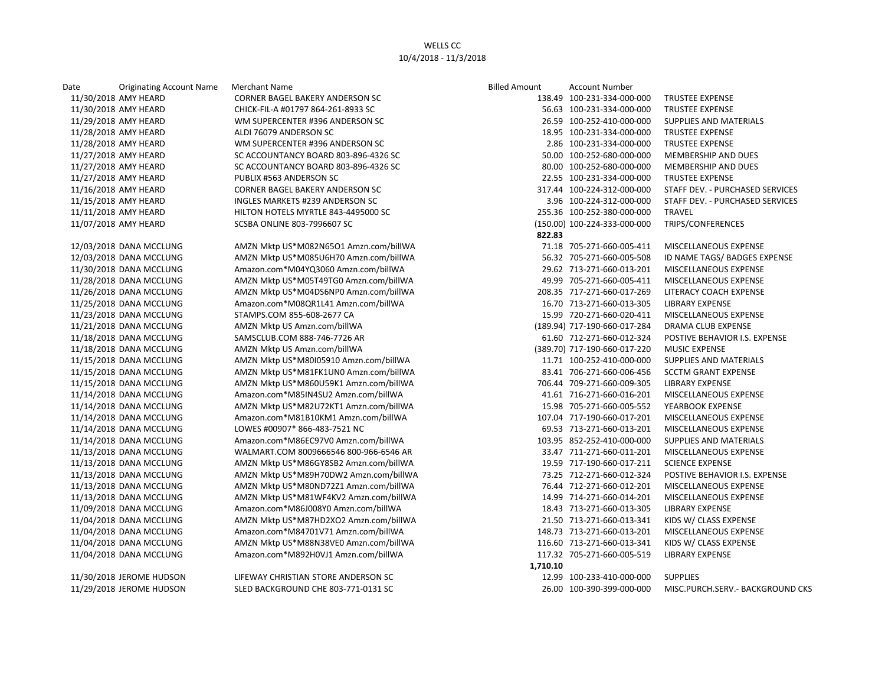## WELLS CC 10/4/2018 - 11/3/2018

| Date       | <b>Originating Account Name</b> |  |
|------------|---------------------------------|--|
|            | 11/30/2018 AMY HEARD            |  |
|            | 11/30/2018 AMY HEARD            |  |
|            | 11/29/2018 AMY HEARD            |  |
|            | 11/28/2018 AMY HEARD            |  |
|            | 11/28/2018 AMY HEARD            |  |
|            | 11/27/2018 AMY HEARD            |  |
|            | 11/27/2018 AMY HEARD            |  |
|            | 11/27/2018 AMY HEARD            |  |
|            | 11/16/2018 AMY HEARD            |  |
|            | 11/15/2018 AMY HEARD            |  |
|            | 11/11/2018 AMY HEARD            |  |
|            | 11/07/2018 AMY HEARD            |  |
|            | 12/03/2018 DANA MCCLUNG         |  |
|            | 12/03/2018 DANA MCCLUNG         |  |
|            | 11/30/2018 DANA MCCLUNG         |  |
|            | 11/28/2018 DANA MCCLUNG         |  |
|            | 11/26/2018 DANA MCCLUNG         |  |
|            | 11/25/2018 DANA MCCLUNG         |  |
|            | 11/23/2018 DANA MCCLUNG         |  |
| 11/21/2018 | DANA MCCLUNG                    |  |
|            | 11/18/2018 DANA MCCLUNG         |  |
|            | 11/18/2018 DANA MCCLUNG         |  |
|            | 11/15/2018 DANA MCCLUNG         |  |
| 11/15/2018 | DANA MCCLUNG                    |  |
|            | 11/15/2018 DANA MCCLUNG         |  |
| 11/14/2018 | <b>DANA MCCLUNG</b>             |  |
|            | 11/14/2018 DANA MCCLUNG         |  |
| 11/14/2018 | <b>DANA MCCLUNG</b>             |  |
| 11/14/2018 | <b>DANA MCCLUNG</b>             |  |
| 11/14/2018 | <b>DANA MCCLUNG</b>             |  |
| 11/13/2018 | <b>DANA MCCLUNG</b>             |  |
| 11/13/2018 | DANA MCCLUNG                    |  |
| 11/13/2018 | <b>DANA MCCLUNG</b>             |  |
| 11/13/2018 | DANA MCCLUNG                    |  |
|            | 11/13/2018 DANA MCCLUNG         |  |
|            | 11/09/2018 DANA MCCLUNG         |  |
|            | 11/04/2018 DANA MCCLUNG         |  |
|            | 11/04/2018 DANA MCCLUNG         |  |
|            | 11/04/2018 DANA MCCLUNG         |  |
| 11/04/2018 | <b>DANA MCCLUNG</b>             |  |
|            |                                 |  |

Date **Originating Account Name** Merchant Name **Billed Amount Account Number Data Amount Account Number** Account Number CORNER BAGEL BAKERY ANDERSON SC CHICK-FIL-A #01797 864-261-8933 SC WM SUPERCENTER #396 ANDERSON SC ALDI 76079 ANDERSON SC WM SUPERCENTER #396 ANDERSON SC SC ACCOUNTANCY BOARD 803-896-4326 SC SC ACCOUNTANCY BOARD 803-896-4326 SC PUBLIX #563 ANDERSON SC CORNER BAGEL BAKERY ANDERSON SC INGLES MARKETS #239 ANDERSON SC HILTON HOTELS MYRTLE 843-4495000 SC SCSBA ONLINE 803-7996607 SC

> AMZN Mktp US\*M082N65O1 Amzn.com/billWA AMZN Mktp US\*M085U6H70 Amzn.com/billWA Amazon.com\*M04YQ3060 Amzn.com/billWA AMZN Mktp US\*M05T49TG0 Amzn.com/billWA AMZN Mktp US\*M04DS6NP0 Amzn.com/billWA Amazon.com\*M08QR1L41 Amzn.com/billWA STAMPS.COM 855-608-2677 CA AMZN Mktp US Amzn.com/billWA 5AMSCLUB.COM 888-746-7726 AR AMZN Mktp US Amzn.com/billWA AMZN Mktp US\*M80I05910 Amzn.com/billWA AMZN Mktp US\*M81FK1UN0 Amzn.com/billWA AMZN Mktp US\*M860U59K1 Amzn.com/billWA Amazon.com\*M85IN4SU2 Amzn.com/billWA AMZN Mktp US\*M82U72KT1 Amzn.com/billWA Amazon.com\*M81B10KM1 Amzn.com/billWA LOWES #00907\* 866-483-7521 NC Amazon.com\*M86EC97V0 Amzn.com/billWA WALMART.COM 8009666546 800-966-6546 AR AMZN Mktp US\*M86GY8SB2 Amzn.com/billWA AMZN Mktp US\*M89H70DW2 Amzn.com/billWA AMZN Mktp US\*M80ND72Z1 Amzn.com/billWA AMZN Mktp US\*M81WF4KV2 Amzn.com/billWA Amazon.com\*M86J008Y0 Amzn.com/billWA AMZN Mktp US\*M87HD2XO2 Amzn.com/billWA Amazon.com\*M84701V71 Amzn.com/billWA AMZN Mktp US\*M88N38VE0 Amzn.com/billWA Amazon.com\*M892H0VJ1 Amzn.com/billWA

11/30/2018 JEROME HUDSON LIFEWAY CHRISTIAN STORE ANDERSON SC 11/29/2018 JEROME HUDSON SLED BACKGROUND CHE 803-771-0131 SC

| <b>Billed Amount</b> | <b>Account Number</b>        |                                      |
|----------------------|------------------------------|--------------------------------------|
|                      | 138.49 100-231-334-000-000   | <b>TRUSTEE EXPENSE</b>               |
|                      | 56.63 100-231-334-000-000    | <b>TRUSTEE EXPENSE</b>               |
|                      | 26.59 100-252-410-000-000    | <b>SUPPLIES AND MATERIALS</b>        |
|                      | 18.95 100-231-334-000-000    | <b>TRUSTEE EXPENSE</b>               |
|                      | 2.86 100-231-334-000-000     | <b>TRUSTEE EXPENSE</b>               |
|                      | 50.00 100-252-680-000-000    | <b>MEMBERSHIP AND DUES</b>           |
|                      | 80.00 100-252-680-000-000    | <b>MEMBERSHIP AND DUES</b>           |
|                      | 22.55 100-231-334-000-000    | <b>TRUSTEE EXPENSE</b>               |
|                      | 317.44 100-224-312-000-000   | STAFF DEV. - PURCHASED SERVICES      |
|                      | 3.96 100-224-312-000-000     | STAFF DEV. - PURCHASED SERVICES      |
|                      | 255.36 100-252-380-000-000   | TRAVEL                               |
|                      | (150.00) 100-224-333-000-000 | TRIPS/CONFERENCES                    |
| 822.83               |                              |                                      |
|                      | 71.18 705-271-660-005-411    | MISCELLANEOUS EXPENSE                |
|                      | 56.32 705-271-660-005-508    | ID NAME TAGS/ BADGES EXPENSE         |
|                      | 29.62 713-271-660-013-201    | MISCELLANEOUS EXPENSE                |
|                      | 49.99 705-271-660-005-411    | <b>MISCELLANEOUS EXPENSE</b>         |
|                      | 208.35 717-271-660-017-269   | <b>LITERACY COACH EXPENSE</b>        |
|                      | 16.70 713-271-660-013-305    | <b>LIBRARY EXPENSE</b>               |
|                      | 15.99 720-271-660-020-411    | <b>MISCELLANEOUS EXPENSE</b>         |
|                      | (189.94) 717-190-660-017-284 | <b>DRAMA CLUB EXPENSE</b>            |
|                      | 61.60 712-271-660-012-324    | POSTIVE BEHAVIOR I.S. EXPENSE        |
|                      | (389.70) 717-190-660-017-220 | <b>MUSIC EXPENSE</b>                 |
|                      | 11.71 100-252-410-000-000    | <b>SUPPLIES AND MATERIALS</b>        |
|                      | 83.41 706-271-660-006-456    | <b>SCCTM GRANT EXPENSE</b>           |
|                      | 706.44 709-271-660-009-305   | <b>LIBRARY EXPENSE</b>               |
|                      | 41.61 716-271-660-016-201    | MISCELLANEOUS EXPENSE                |
|                      | 15.98 705-271-660-005-552    | YEARBOOK EXPENSE                     |
|                      | 107.04 717-190-660-017-201   | <b>MISCELLANEOUS EXPENSE</b>         |
|                      | 69.53 713-271-660-013-201    | MISCELLANEOUS EXPENSE                |
|                      | 103.95 852-252-410-000-000   | <b>SUPPLIES AND MATERIALS</b>        |
|                      | 33.47 711-271-660-011-201    | MISCELLANEOUS EXPENSE                |
|                      | 19.59 717-190-660-017-211    | <b>SCIENCE EXPENSE</b>               |
|                      | 73.25 712-271-660-012-324    | <b>POSTIVE BEHAVIOR I.S. EXPENSE</b> |
|                      | 76.44 712-271-660-012-201    | <b>MISCELLANEOUS EXPENSE</b>         |
|                      | 14.99 714-271-660-014-201    | MISCELLANEOUS EXPENSE                |
|                      | 18.43 713-271-660-013-305    | <b>LIBRARY EXPENSE</b>               |
|                      | 21.50 713-271-660-013-341    | KIDS W/ CLASS EXPENSE                |
|                      | 148.73 713-271-660-013-201   | MISCELLANEOUS EXPENSE                |
|                      | 116.60 713-271-660-013-341   | KIDS W/ CLASS EXPENSE                |
|                      | 117.32 705-271-660-005-519   | <b>LIBRARY EXPENSE</b>               |
| 1,710.10             |                              |                                      |
|                      | 12.99 100-233-410-000-000    | <b>SUPPLIES</b>                      |
|                      | 26.00 100-390-399-000-000    | MISC PURCH SERV - RACKGROUND CKS     |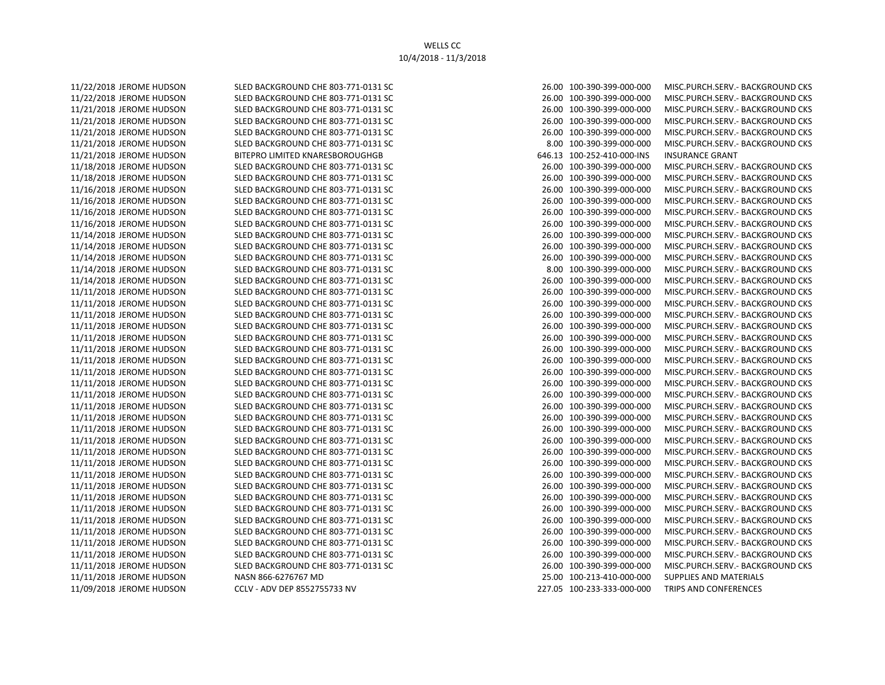11/22/2018 JEROME HUDSON SLED BACKGROUND CHE 803-771-0131 SC 26.00 100-390-399-000-000 MISC.PURCH.SERV.- BACKGROUND CKS 11/22/2018 JEROME HUDSON SLED BACKGROUND CHE 803-771-0131 SC 26.00 100-390-399-000-000 MISC.PURCH.SERV.- BACKGROUND CKS 11/21/2018 JEROME HUDSON SLED BACKGROUND CHE 803-771-0131 SC 26.00 100-390-399-000-000 MISC.PURCH.SERV.- BACKGROUND CKS 11/21/2018 JEROME HUDSON SLED BACKGROUND CHE 803-771-0131 SC 26.00 100-390-399-000-000 MISC.PURCH.SERV.- BACKGROUND CKS 11/21/2018 JEROME HUDSON SLED BACKGROUND CHE 803-771-0131 SC 26.00 100-390-399-000-000 MISC.PURCH.SERV.- BACKGROUND CKS 11/21/2018 JEROME HUDSON SLED BACKGROUND CHE 803-771-0131 SC 8.00 100-390-399-000-000 MISC.PURCH.SERV.- BACKGROUND CKS 11/21/2018 JEROME HUDSON BITEPRO LIMITED KNARESBOROUGHGB 646.13 100-252-410-000-INS INSURANCE GRANT 11/18/2018 JEROME HUDSON SLED BACKGROUND CHE 803-771-0131 SC 26.00 100-390-399-000-000 MISC.PURCH.SERV.- BACKGROUND CKS 11/18/2018 JEROME HUDSON SLED BACKGROUND CHE 803-771-0131 SC 26.00 100-390-399-000-000 MISC.PURCH.SERV.- BACKGROUND CKS 11/16/2018 JEROME HUDSON SLED BACKGROUND CHE 803-771-0131 SC 26.00 100-390-399-000-000 MISC.PURCH.SERV.- BACKGROUND CKS 11/16/2018 JEROME HUDSON SLED BACKGROUND CHE 803-771-0131 SC 26.00 100-390-399-000-000 MISC.PURCH.SERV.- BACKGROUND CKS 11/16/2018 JEROME HUDSON SLED BACKGROUND CHE 803-771-0131 SC 26.00 100-390-399-000-000 MISC.PURCH.SERV.- BACKGROUND CKS 11/16/2018 JEROME HUDSON SLED BACKGROUND CHE 803-771-0131 SC 26.00 100-390-399-000-000 MISC.PURCH.SERV.- BACKGROUND CKS 11/14/2018 JEROME HUDSON SLED BACKGROUND CHE 803-771-0131 SC 26.00 100-390-399-000-000 MISC.PURCH.SERV.- BACKGROUND CKS 11/14/2018 JEROME HUDSON SLED BACKGROUND CHE 803-771-0131 SC 26.00 100-390-399-000-000 MISC.PURCH.SERV.- BACKGROUND CKS 11/14/2018 JEROME HUDSON SLED BACKGROUND CHE 803-771-0131 SC 26.00 100-390-399-000-000 MISC.PURCH.SERV.- BACKGROUND CKS 11/14/2018 JEROME HUDSON SLED BACKGROUND CHE 803-771-0131 SC 8.00 100-390-399-000-000 MISC.PURCH.SERV.- BACKGROUND CKS 11/14/2018 JEROME HUDSON SLED BACKGROUND CHE 803-771-0131 SC 26.00 100-390-399-000-000 MISC.PURCH.SERV.- BACKGROUND CKS 11/11/2018 JEROME HUDSON SLED BACKGROUND CHE 803-771-0131 SC 26.00 100-390-399-000-000 MISC.PURCH.SERV.- BACKGROUND CKS 11/11/2018 JEROME HUDSON SLED BACKGROUND CHE 803-771-0131 SC 26.00 100-390-399-000-000 MISC.PURCH.SERV.- BACKGROUND CKS 11/11/2018 JEROME HUDSON SLED BACKGROUND CHE 803-771-0131 SC 26.00 100-390-399-000-000 MISC.PURCH.SERV.- BACKGROUND CKS 11/11/2018 JEROME HUDSON SLED BACKGROUND CHE 803-771-0131 SC 26.00 100-390-399-000-000 MISC.PURCH.SERV.- BACKGROUND CKS 11/11/2018 JEROME HUDSON SLED BACKGROUND CHE 803-771-0131 SC 26.00 100-390-399-000-000 MISC.PURCH.SERV.- BACKGROUND CKS 11/11/2018 JEROME HUDSON SLED BACKGROUND CHE 803-771-0131 SC 26.00 100-390-399-000-000 MISC.PURCH.SERV.- BACKGROUND CKS 11/11/2018 JEROME HUDSON SLED BACKGROUND CHE 803-771-0131 SC 26.00 100-390-399-000-000 MISC.PURCH.SERV.- BACKGROUND CKS 11/11/2018 JEROME HUDSON SLED BACKGROUND CHE 803-771-0131 SC 26.00 100-390-399-000-000 MISC.PURCH.SERV.- BACKGROUND CKS 11/11/2018 JEROME HUDSON SLED BACKGROUND CHE 803-771-0131 SC 26.00 100-390-399-000-000 MISC.PURCH.SERV.- BACKGROUND CKS 11/11/2018 JEROME HUDSON SLED BACKGROUND CHE 803-771-0131 SC 26.00 100-390-399-000-000 MISC.PURCH.SERV.- BACKGROUND CKS 11/11/2018 JEROME HUDSON SLED BACKGROUND CHE 803-771-0131 SC 26.00 100-390-399-000-000 MISC.PURCH.SERV.- BACKGROUND CKS 11/11/2018 JEROME HUDSON SLED BACKGROUND CHE 803-771-0131 SC 26.00 100-390-399-000-000 MISC.PURCH.SERV.- BACKGROUND CKS 11/11/2018 JEROME HUDSON SLED BACKGROUND CHE 803-771-0131 SC 26.00 100-390-399-000-000 MISC.PURCH.SERV.- BACKGROUND CKS 11/11/2018 JEROME HUDSON SLED BACKGROUND CHE 803-771-0131 SC 26.00 100-390-399-000-000 MISC.PURCH.SERV.- BACKGROUND CKS 11/11/2018 JEROME HUDSON SLED BACKGROUND CHE 803-771-0131 SC 26.00 100-390-399-000-000 MISC.PURCH.SERV.- BACKGROUND CKS 11/11/2018 JEROME HUDSON SLED BACKGROUND CHE 803-771-0131 SC 26.00 100-390-399-000-000 MISC.PURCH.SERV.- BACKGROUND CKS 11/11/2018 JEROME HUDSON SLED BACKGROUND CHE 803-771-0131 SC 26.00 100-390-399-000-000 MISC.PURCH.SERV.- BACKGROUND CKS 11/11/2018 JEROME HUDSON SLED BACKGROUND CHE 803-771-0131 SC 26.00 100-390-399-000-000 MISC.PURCH.SERV.- BACKGROUND CKS 11/11/2018 JEROME HUDSON SLED BACKGROUND CHE 803-771-0131 SC 26.00 100-390-399-000-000 MISC.PURCH.SERV.- BACKGROUND CKS 11/11/2018 JEROME HUDSON SLED BACKGROUND CHE 803-771-0131 SC 26.00 100-390-399-000-000 MISC.PURCH.SERV.- BACKGROUND CKS 11/11/2018 JEROME HUDSON SLED BACKGROUND CHE 803-771-0131 SC 26.00 100-390-399-000-000 MISC.PURCH.SERV.- BACKGROUND CKS 11/11/2018 JEROME HUDSON SLED BACKGROUND CHE 803-771-0131 SC 26.00 100-390-399-000-000 MISC.PURCH.SERV.- BACKGROUND CKS 11/11/2018 JEROME HUDSON SLED BACKGROUND CHE 803-771-0131 SC 26.00 100-390-399-000-000 MISC.PURCH.SERV.- BACKGROUND CKS 11/11/2018 JEROME HUDSON SLED BACKGROUND CHE 803-771-0131 SC 26.00 100-390-399-000-000 MISC.PURCH.SERV.- BACKGROUND CKS 11/11/2018 JEROME HUDSON SLED BACKGROUND CHE 803-771-0131 SC 26.00 100-390-399-000-000 MISC.PURCH.SERV.- BACKGROUND CKS 11/11/2018 JEROME HUDSON NASN 866-6276767 MD 25.00 100-213-410-000-000 SUPPLIES AND MATERIALS 11/09/2018 JEROME HUDSON CCLV - ADV DEP 8552755733 NV 227.05 100-233-333-000-000 TRIPS AND CONFERENCES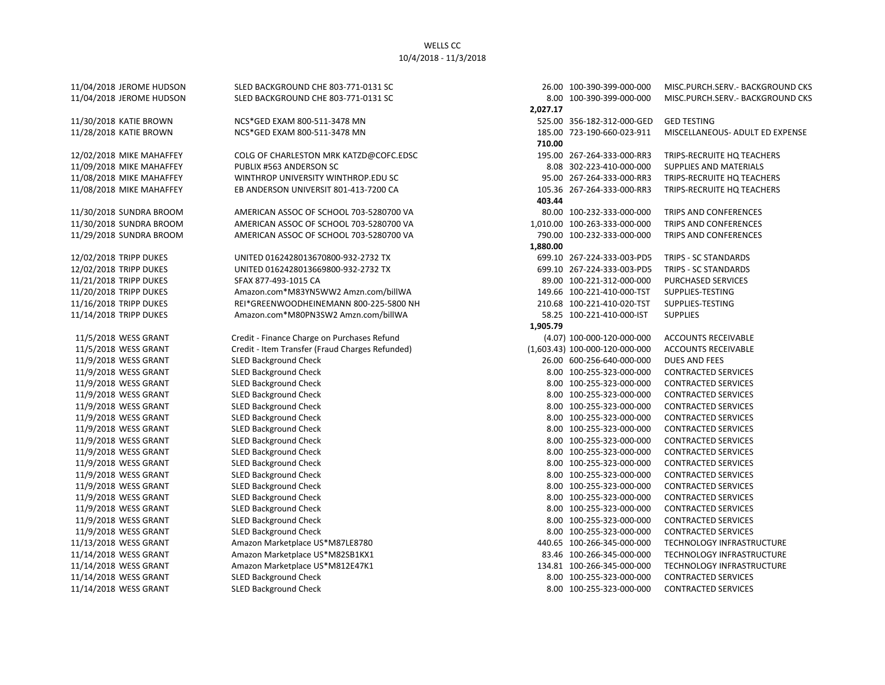## WELLS CC 10/4/2018 - 11/3/2018

11/30/2018 KATIE BROWN NCS\*GED EXAM 800-511-3478 MN 525.00 S56-182-312-000-GED GED TESTING 11/09/2018 MIKE MAHAFFEY PUBLIX #563 ANDERSON SC 8.08 302-223-410-000-000 SUPPLIES AND MATERIALS 11/30/2018 SUNDRA BROOM AMERICAN ASSOC OF SCHOOL 703-5280700 VA 80.00 100-232-333-000-000 TRIPS AND CONFERENCES 11/30/2018 SUNDRA BROOM AMERICAN ASSOC OF SCHOOL 703-5280700 VA 1,010.00 100-263-333-000-000 TRIPS AND CONFERENCES 11/29/2018 SUNDRA BROOM AMERICAN ASSOC OF SCHOOL 703-5280700 VA 790.00 100-232-333-000-000 TRIPS AND CONFERENCES 12/02/2018 TRIPP DUKES UNITED 0162428013670800-932-2732 TX 699.10 267-224-333-003-PD5 TRIPS - SC STANDARDS 12/02/2018 TRIPP DUKES UNITED 0162428013669800-932-2732 TX 699.10 267-224-333-003-PD5 TRIPS - SC STANDARDS 11/21/2018 TRIPP DUKES SFAX 877-493-1015 CA 89.00 100-221-312-000-000 PURCHASED SERVICES 11/20/2018 TRIPP DUKES Amazon.com\*M83YN5WW2 Amzn.com/billWA 149.66 100-221-410-000-TST SUPPLIES-TESTING 11/16/2018 TRIPP DUKES REI\*GREENWOODHEINEMANN 800-225-5800 NH 210.68 100-221-410-020-TST SUPPLIES-TESTING 11/14/2018 TRIPP DUKES Amazon.com\*M80PN3SW2 Amzn.com/billWA 58.25 100-221-410-000-IST SUPPLIES 11/5/2018 WESS GRANT Credit - Finance Charge on Purchases Refund (4.07) 100-000-120-000-000 ACCOUNTS RECEIVABLE 11/5/2018 WESS GRANT Credit - Item Transfer (Fraud Charges Refunded) (1,603.43) 100-000-120-000-000 ACCOUNTS RECEIVABLE 11/9/2018 WESS GRANT SLED Background Check 26.00 600-256-640-000-000 DUES AND FEES 11/9/2018 WESS GRANT SLED Background Check 8.00 100-255-323-000-000 CONTRACTED SERVICES 11/9/2018 WESS GRANT SLED Background Check 8.00 100-255-323-000-000 CONTRACTED SERVICES 11/9/2018 WESS GRANT SLED Background Check 8.00 100-255-323-000-000 CONTRACTED SERVICES 11/9/2018 WESS GRANT SLED Background Check 8.00 100-255-323-000-000 CONTRACTED SERVICES 11/9/2018 WESS GRANT SLED Background Check 8.00 100-255-323-000-000 CONTRACTED SERVICES 11/9/2018 WESS GRANT SLED Background Check 8.00 100-255-323-000-000 CONTRACTED SERVICES 11/9/2018 WESS GRANT SLED Background Check 8.00 100-255-323-000-000 CONTRACTED SERVICES 11/9/2018 WESS GRANT SLED Background Check 8.00 100-255-323-000-000 CONTRACTED SERVICES 11/9/2018 WESS GRANT SLED Background Check 8.00 100-255-323-000-000 CONTRACTED SERVICES 11/9/2018 WESS GRANT SLED Background Check 8.00 100-255-323-000-000 CONTRACTED SERVICES 11/9/2018 WESS GRANT SLED Background Check 8.00 100-255-323-000-000 CONTRACTED SERVICES 11/9/2018 WESS GRANT SLED Background Check 8.00 100-255-323-000-000 CONTRACTED SERVICES 11/9/2018 WESS GRANT SLED Background Check 8.00 100-255-323-000-000 CONTRACTED SERVICES 11/9/2018 WESS GRANT SLED Background Check 8.00 100-255-323-000-000 CONTRACTED SERVICES 11/9/2018 WESS GRANT SLED Background Check 8.00 100-255-323-000-000 CONTRACTED SERVICES 11/14/2018 WESS GRANT SLED Background Check 8.00 100-255-323-000-000 CONTRACTED SERVICES

11/04/2018 JEROME HUDSON SLED BACKGROUND CHE 803-771-0131 SC 26.00 100-390-399-000-000 MISC.PURCH.SERV.- BACKGROUND CKS 11/04/2018 JEROME HUDSON SLED BACKGROUND CHE 803-771-0131 SC 8.00 100-390-399-000-000 MISC.PURCH.SERV.- BACKGROUND CKS  **2,027.17** 11/28/2018 KATIE BROWN NCS\*GED EXAM 800-511-3478 MN 185.00 723-190-660-023-911 MISCELLANEOUS- ADULT ED EXPENSE  **710.00** 12/02/2018 MIKE MAHAFFEY COLG OF CHARLESTON MRK KATZD@COFC.EDSC 195.00 267-264-333-000-RR3 TRIPS-RECRUITE HQ TEACHERS 11/08/2018 MIKE MAHAFFEY WINTHROP UNIVERSITY WINTHROP.EDU SC 95.00 267-264-333-000-RR3 TRIPS-RECRUITE HQ TEACHERS 11/08/2018 MIKE MAHAFFEY EB ANDERSON UNIVERSIT 801-413-7200 CA 105.36 267-264-333-000-RR3 TRIPS-RECRUITE HQ TEACHERS  **403.44 1,880.00 1,905.79** 11/13/2018 WESS GRANT Amazon Marketplace US\*M87LE8780 440.65 100-266-345-000-000 TECHNOLOGY INFRASTRUCTURE 11/14/2018 WESS GRANT Amazon Marketplace US\*M82SB1KX1 83.46 100-266-345-000-000 TECHNOLOGY INFRASTRUCTURE 11/14/2018 WESS GRANT Amazon Marketplace US\*M812E47K1 134.81 100-266-345-000-000 TECHNOLOGY INFRASTRUCTURE 11/14/2018 WESS GRANT SLED Background Check 8.00 100-255-323-000-000 CONTRACTED SERVICES